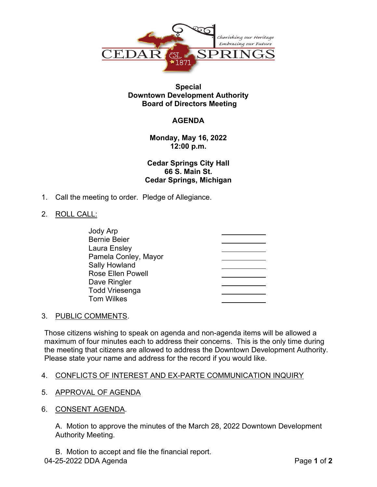

### **Special Downtown Development Authority Board of Directors Meeting**

# **AGENDA**

**Monday, May 16, 2022 12:00 p.m.**

**Cedar Springs City Hall 66 S. Main St. Cedar Springs, Michigan**

1. Call the meeting to order. Pledge of Allegiance.

### 2. ROLL CALL:

| Jody Arp                 |  |
|--------------------------|--|
| <b>Bernie Beier</b>      |  |
| Laura Ensley             |  |
| Pamela Conley, Mayor     |  |
| <b>Sally Howland</b>     |  |
| <b>Rose Ellen Powell</b> |  |
| Dave Ringler             |  |
| <b>Todd Vriesenga</b>    |  |
| <b>Tom Wilkes</b>        |  |

#### 3. PUBLIC COMMENTS.

Those citizens wishing to speak on agenda and non-agenda items will be allowed a maximum of four minutes each to address their concerns. This is the only time during the meeting that citizens are allowed to address the Downtown Development Authority. Please state your name and address for the record if you would like.

## 4. CONFLICTS OF INTEREST AND EX-PARTE COMMUNICATION INQUIRY

- 5. APPROVAL OF AGENDA
- 6. CONSENT AGENDA.

A. Motion to approve the minutes of the March 28, 2022 Downtown Development Authority Meeting.

B. Motion to accept and file the financial report.